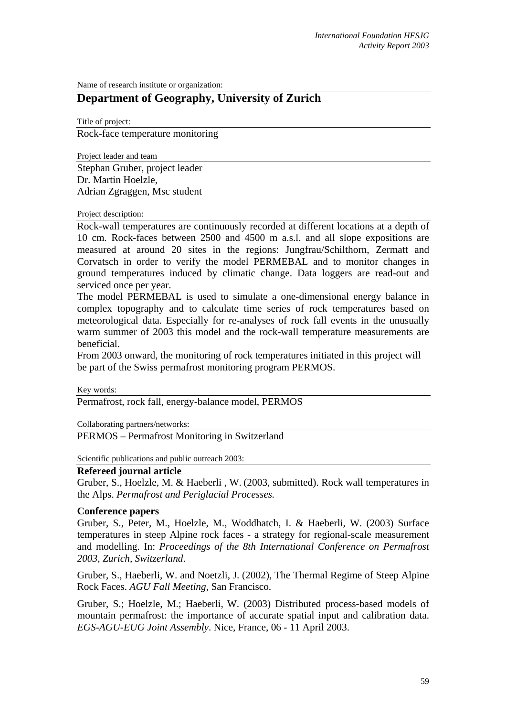Name of research institute or organization:

# **Department of Geography, University of Zurich**

Title of project: Rock-face temperature monitoring

Project leader and team

Stephan Gruber, project leader Dr. Martin Hoelzle, Adrian Zgraggen, Msc student

#### Project description:

Rock-wall temperatures are continuously recorded at different locations at a depth of 10 cm. Rock-faces between 2500 and 4500 m a.s.l. and all slope expositions are measured at around 20 sites in the regions: Jungfrau/Schilthorn, Zermatt and Corvatsch in order to verify the model PERMEBAL and to monitor changes in ground temperatures induced by climatic change. Data loggers are read-out and serviced once per year.

The model PERMEBAL is used to simulate a one-dimensional energy balance in complex topography and to calculate time series of rock temperatures based on meteorological data. Especially for re-analyses of rock fall events in the unusually warm summer of 2003 this model and the rock-wall temperature measurements are beneficial.

From 2003 onward, the monitoring of rock temperatures initiated in this project will be part of the Swiss permafrost monitoring program PERMOS.

Key words:

Permafrost, rock fall, energy-balance model, PERMOS

Collaborating partners/networks:

PERMOS – Permafrost Monitoring in Switzerland

Scientific publications and public outreach 2003:

### **Refereed journal article**

Gruber, S., Hoelzle, M. & Haeberli , W. (2003, submitted). Rock wall temperatures in the Alps. *Permafrost and Periglacial Processes.*

#### **Conference papers**

Gruber, S., Peter, M., Hoelzle, M., Woddhatch, I. & Haeberli, W. (2003) Surface temperatures in steep Alpine rock faces - a strategy for regional-scale measurement and modelling. In: *Proceedings of the 8th International Conference on Permafrost 2003, Zurich, Switzerland*.

Gruber, S., Haeberli, W. and Noetzli, J. (2002), The Thermal Regime of Steep Alpine Rock Faces. *AGU Fall Meeting*, San Francisco.

Gruber, S.; Hoelzle, M.; Haeberli, W. (2003) Distributed process-based models of mountain permafrost: the importance of accurate spatial input and calibration data. *EGS-AGU-EUG Joint Assembly*. Nice, France, 06 - 11 April 2003.